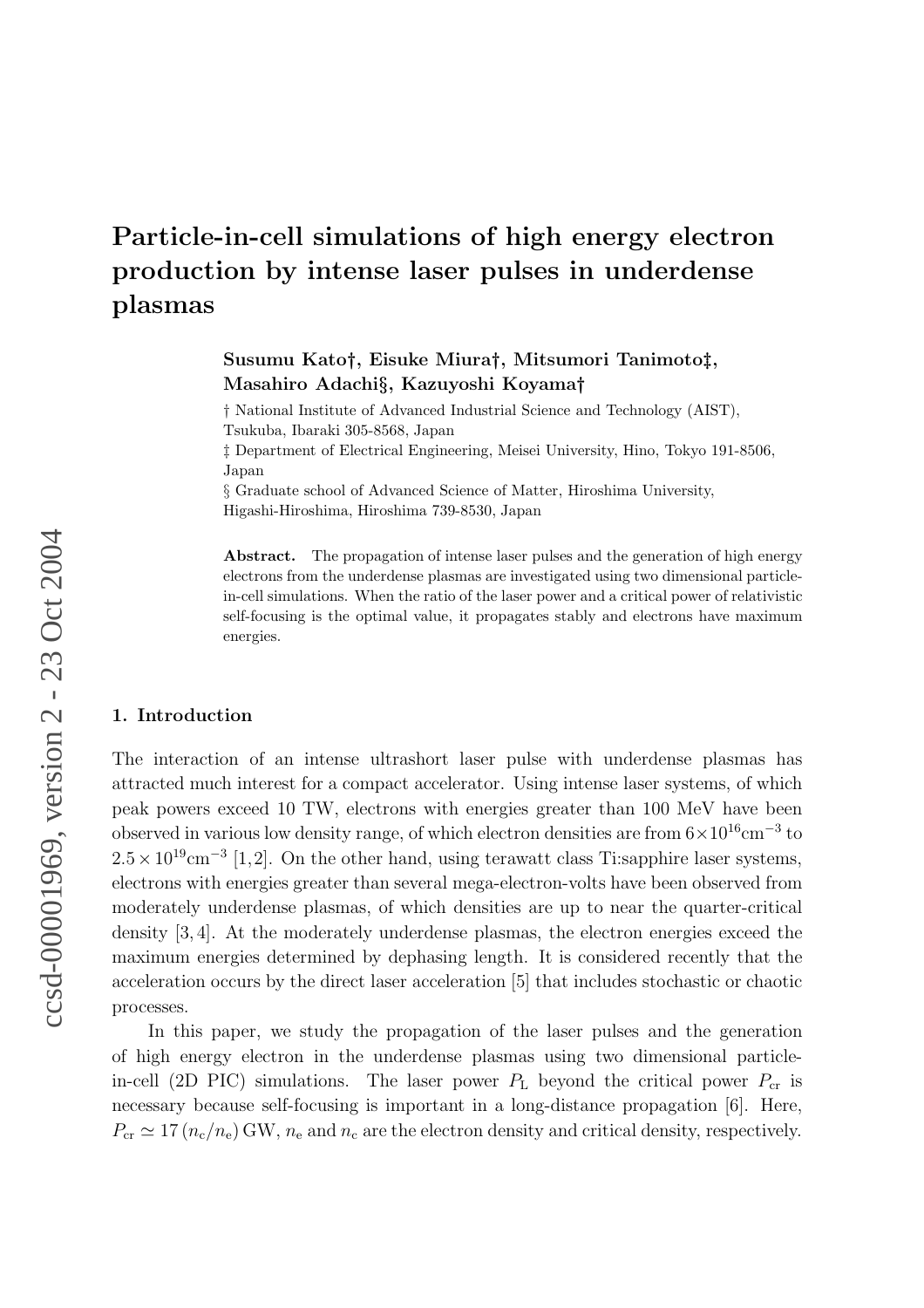# Particle-in-cell simulations of high energy electron production by intense laser pulses in underdense plasmas

# Susumu Kato†, Eisuke Miura†, Mitsumori Tanimoto‡, Masahiro Adachi§, Kazuyoshi Koyama†

† National Institute of Advanced Industrial Science and Technology (AIST), Tsukuba, Ibaraki 305-8568, Japan

‡ Department of Electrical Engineering, Meisei University, Hino, Tokyo 191-8506, Japan

§ Graduate school of Advanced Science of Matter, Hiroshima University, Higashi-Hiroshima, Hiroshima 739-8530, Japan

Abstract. The propagation of intense laser pulses and the generation of high energy electrons from the underdense plasmas are investigated using two dimensional particlein-cell simulations. When the ratio of the laser power and a critical power of relativistic self-focusing is the optimal value, it propagates stably and electrons have maximum energies.

#### 1. Introduction

The interaction of an intense ultrashort laser pulse with underdense plasmas has attracted much interest for a compact accelerator. Using intense laser systems, of which peak powers exceed 10 TW, electrons with energies greater than 100 MeV have been observed in various low density range, of which electron densities are from  $6 \times 10^{16}$ cm<sup>-3</sup> to  $2.5 \times 10^{19}$  cm<sup>-3</sup> [1,2]. On the other hand, using terawatt class Ti:sapphire laser systems, electrons with energies greater than several mega-electron-volts have been observed from moderately underdense plasmas, of which densities are up to near the quarter-critical density [3, 4]. At the moderately underdense plasmas, the electron energies exceed the maximum energies determined by dephasing length. It is considered recently that the acceleration occurs by the direct laser acceleration [5] that includes stochastic or chaotic processes.

In this paper, we study the propagation of the laser pulses and the generation of high energy electron in the underdense plasmas using two dimensional particlein-cell (2D PIC) simulations. The laser power  $P_L$  beyond the critical power  $P_{cr}$  is necessary because self-focusing is important in a long-distance propagation [6]. Here,  $P_{\rm cr} \simeq 17 \left( n_{\rm c}/n_{\rm e} \right)$  GW,  $n_{\rm e}$  and  $n_{\rm c}$  are the electron density and critical density, respectively.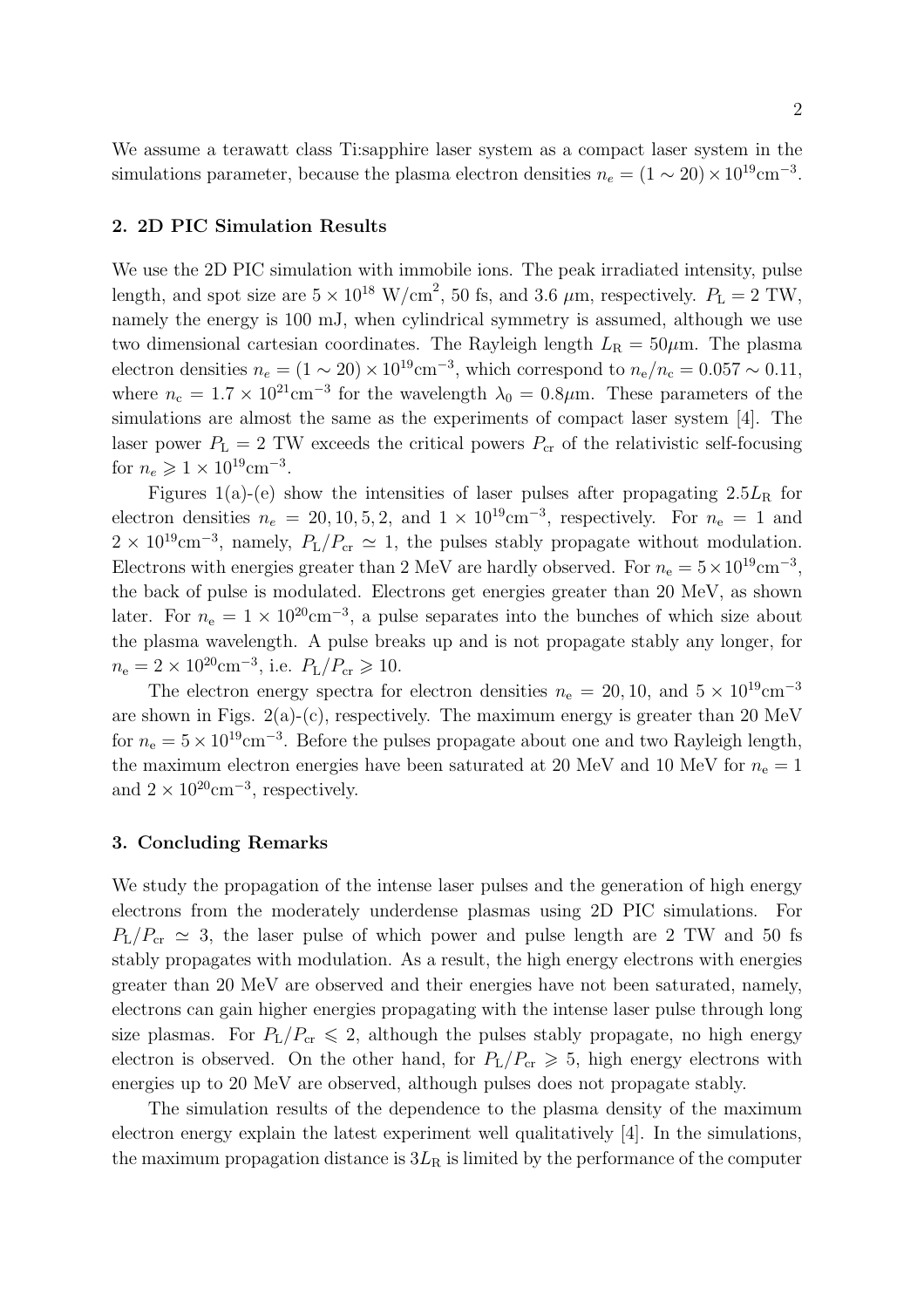We assume a terawatt class Ti:sapphire laser system as a compact laser system in the simulations parameter, because the plasma electron densities  $n_e = (1 \sim 20) \times 10^{19} \text{cm}^{-3}$ .

# 2. 2D PIC Simulation Results

We use the 2D PIC simulation with immobile ions. The peak irradiated intensity, pulse length, and spot size are  $5 \times 10^{18}$  W/cm<sup>2</sup>, 50 fs, and 3.6  $\mu$ m, respectively.  $P_L = 2$  TW, namely the energy is 100 mJ, when cylindrical symmetry is assumed, although we use two dimensional cartesian coordinates. The Rayleigh length  $L_R = 50 \mu$ m. The plasma electron densities  $n_e = (1 \sim 20) \times 10^{19} \text{cm}^{-3}$ , which correspond to  $n_e/n_c = 0.057 \sim 0.11$ , where  $n_c = 1.7 \times 10^{21} \text{cm}^{-3}$  for the wavelength  $\lambda_0 = 0.8 \mu \text{m}$ . These parameters of the simulations are almost the same as the experiments of compact laser system [4]. The laser power  $P_{\text{L}} = 2$  TW exceeds the critical powers  $P_{\text{cr}}$  of the relativistic self-focusing for  $n_e \geq 1 \times 10^{19} \text{cm}^{-3}$ .

Figures 1(a)-(e) show the intensities of laser pulses after propagating  $2.5L<sub>R</sub>$  for electron densities  $n_e = 20, 10, 5, 2,$  and  $1 \times 10^{19}$ cm<sup>-3</sup>, respectively. For  $n_e = 1$  and  $2 \times 10^{19}$ cm<sup>-3</sup>, namely,  $P_L/P_{cr} \simeq 1$ , the pulses stably propagate without modulation. Electrons with energies greater than 2 MeV are hardly observed. For  $n_e = 5 \times 10^{19} \text{cm}^{-3}$ , the back of pulse is modulated. Electrons get energies greater than 20 MeV, as shown later. For  $n_e = 1 \times 10^{20} \text{cm}^{-3}$ , a pulse separates into the bunches of which size about the plasma wavelength. A pulse breaks up and is not propagate stably any longer, for  $n_e = 2 \times 10^{20} \text{cm}^{-3}$ , i.e.  $P_L/P_{cr} \geq 10$ .

The electron energy spectra for electron densities  $n_e = 20, 10,$  and  $5 \times 10^{19}$ cm<sup>-3</sup> are shown in Figs.  $2(a)-(c)$ , respectively. The maximum energy is greater than 20 MeV for  $n_e = 5 \times 10^{19} \text{cm}^{-3}$ . Before the pulses propagate about one and two Rayleigh length, the maximum electron energies have been saturated at 20 MeV and 10 MeV for  $n_e = 1$ and  $2 \times 10^{20}$ cm<sup>-3</sup>, respectively.

### 3. Concluding Remarks

We study the propagation of the intense laser pulses and the generation of high energy electrons from the moderately underdense plasmas using 2D PIC simulations. For  $P_{\text{L}}/P_{\text{cr}} \simeq 3$ , the laser pulse of which power and pulse length are 2 TW and 50 fs stably propagates with modulation. As a result, the high energy electrons with energies greater than 20 MeV are observed and their energies have not been saturated, namely, electrons can gain higher energies propagating with the intense laser pulse through long size plasmas. For  $P_L/P_{cr} \leq 2$ , although the pulses stably propagate, no high energy electron is observed. On the other hand, for  $P_{\rm L}/P_{\rm cr} \geq 5$ , high energy electrons with energies up to 20 MeV are observed, although pulses does not propagate stably.

The simulation results of the dependence to the plasma density of the maximum electron energy explain the latest experiment well qualitatively [4]. In the simulations, the maximum propagation distance is  $3L<sub>R</sub>$  is limited by the performance of the computer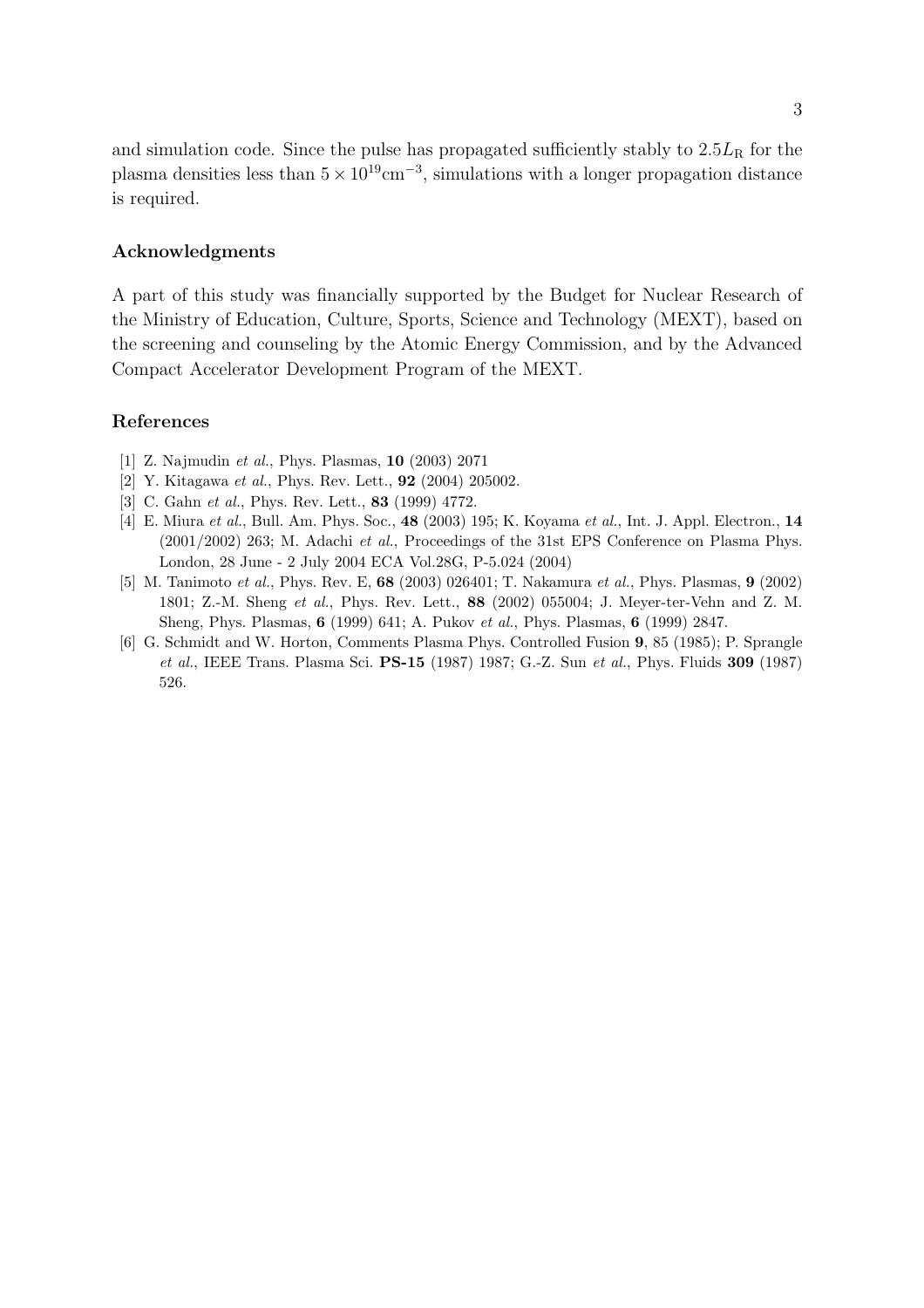and simulation code. Since the pulse has propagated sufficiently stably to  $2.5L<sub>R</sub>$  for the plasma densities less than  $5 \times 10^{19}$ cm<sup>-3</sup>, simulations with a longer propagation distance is required.

### Acknowledgments

A part of this study was financially supported by the Budget for Nuclear Research of the Ministry of Education, Culture, Sports, Science and Technology (MEXT), based on the screening and counseling by the Atomic Energy Commission, and by the Advanced Compact Accelerator Development Program of the MEXT.

# References

- [1] Z. Najmudin et al., Phys. Plasmas, 10 (2003) 2071
- [2] Y. Kitagawa et al., Phys. Rev. Lett., **92** (2004) 205002.
- [3] C. Gahn et al., Phys. Rev. Lett., **83** (1999) 4772.
- [4] E. Miura et al., Bull. Am. Phys. Soc., 48 (2003) 195; K. Koyama et al., Int. J. Appl. Electron., 14 (2001/2002) 263; M. Adachi et al., Proceedings of the 31st EPS Conference on Plasma Phys. London, 28 June - 2 July 2004 ECA Vol.28G, P-5.024 (2004)
- [5] M. Tanimoto et al., Phys. Rev. E, 68 (2003) 026401; T. Nakamura et al., Phys. Plasmas, 9 (2002) 1801; Z.-M. Sheng et al., Phys. Rev. Lett., 88 (2002) 055004; J. Meyer-ter-Vehn and Z. M. Sheng, Phys. Plasmas, 6 (1999) 641; A. Pukov et al., Phys. Plasmas, 6 (1999) 2847.
- [6] G. Schmidt and W. Horton, Comments Plasma Phys. Controlled Fusion 9, 85 (1985); P. Sprangle et al., IEEE Trans. Plasma Sci. PS-15 (1987) 1987; G.-Z. Sun et al., Phys. Fluids 309 (1987) 526.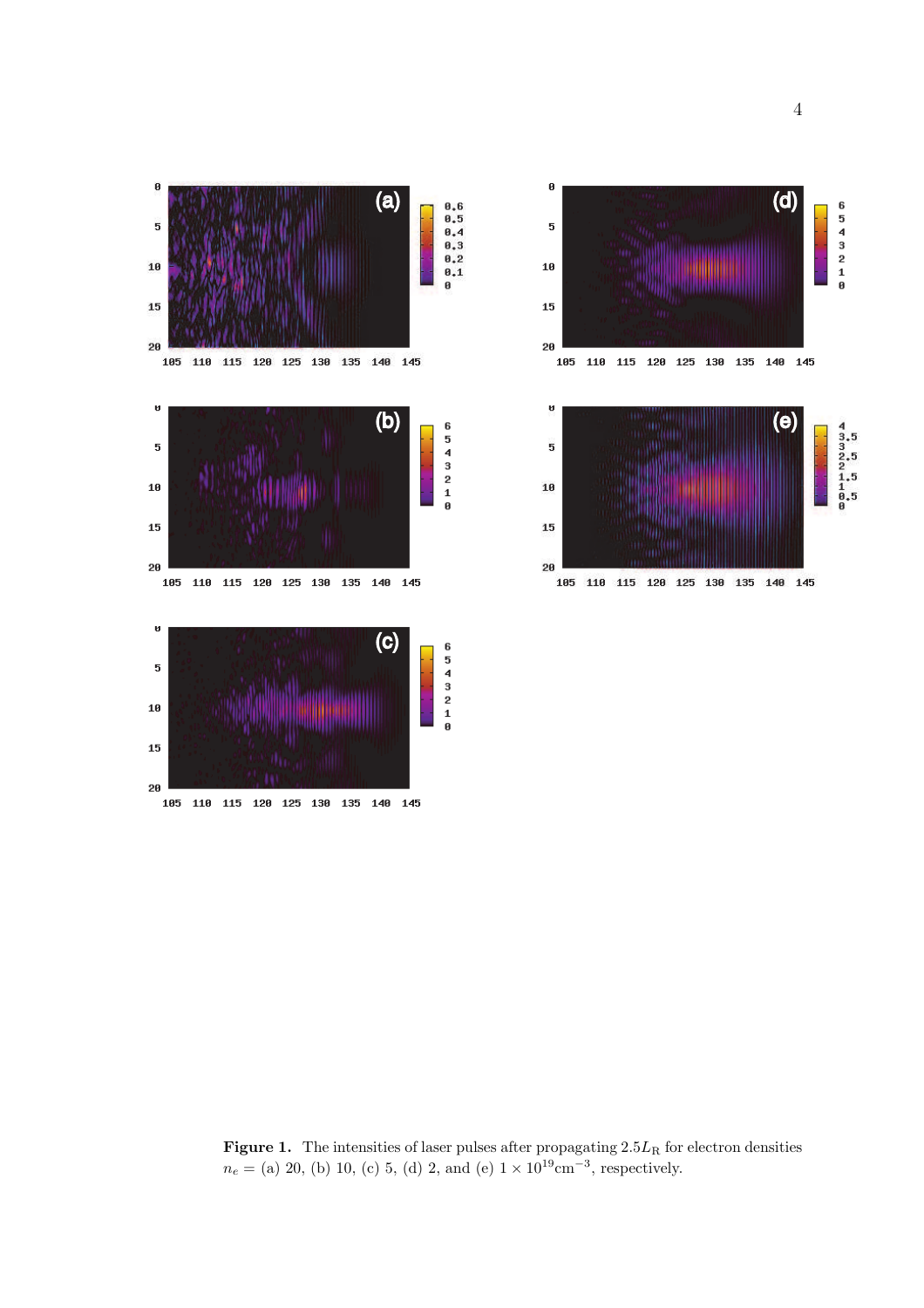



Figure 1. The intensities of laser pulses after propagating  $2.5L<sub>R</sub>$  for electron densities  $n_e =$  (a) 20, (b) 10, (c) 5, (d) 2, and (e)  $1 \times 10^{19}$  cm<sup>-3</sup>, respectively.